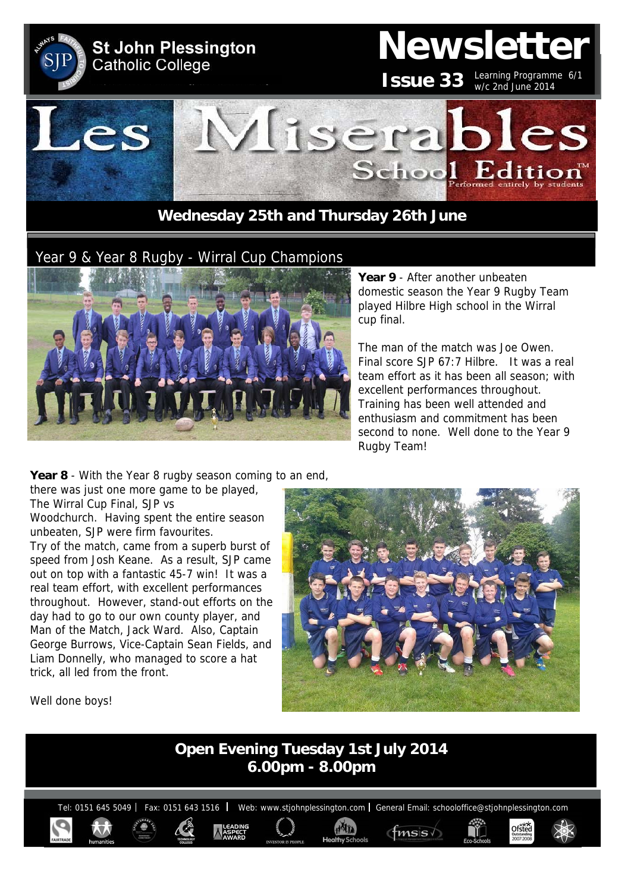

## Year 9 & Year 8 Rugby - Wirral Cup Champions



**Year 9** - After another unbeaten domestic season the Year 9 Rugby Team played Hilbre High school in the Wirral cup final.

The man of the match was Joe Owen. Final score SJP 67:7 Hilbre. It was a real team effort as it has been all season; with excellent performances throughout. Training has been well attended and enthusiasm and commitment has been second to none. Well done to the Year 9 Rugby Team!

**Year 8** - With the Year 8 rugby season coming to an end,

there was just one more game to be played, The Wirral Cup Final, SJP vs Woodchurch. Having spent the entire season

unbeaten, SJP were firm favourites.

Try of the match, came from a superb burst of speed from Josh Keane. As a result, SJP came out on top with a fantastic 45-7 win! It was a real team effort, with excellent performances throughout. However, stand-out efforts on the day had to go to our own county player, and Man of the Match, Jack Ward. Also, Captain George Burrows, Vice-Captain Sean Fields, and Liam Donnelly, who managed to score a hat trick, all led from the front.



Well done boys!

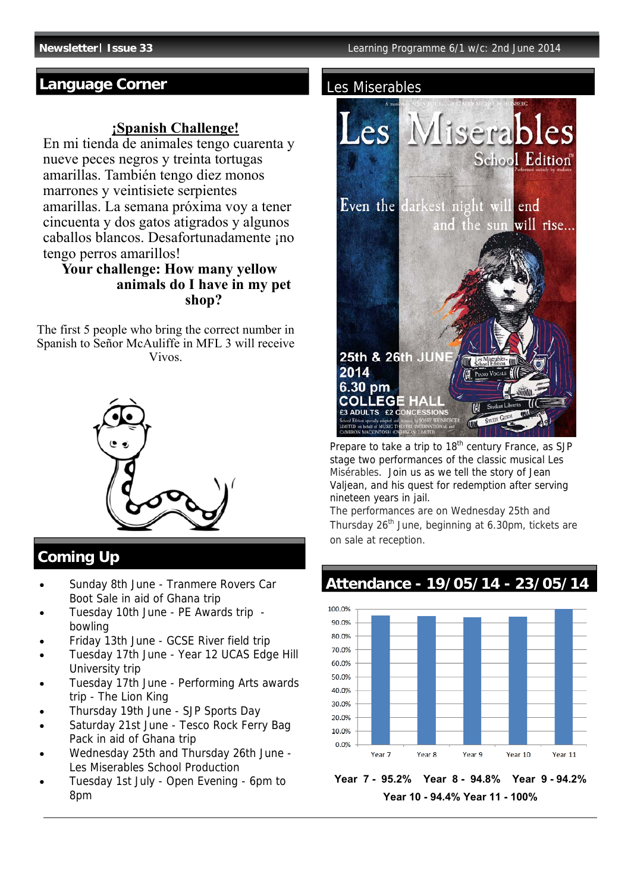## **Language Corner**

### **¡Spanish Challenge!**

En mi tienda de animales tengo cuarenta y nueve peces negros y treinta tortugas amarillas. También tengo diez monos marrones y veintisiete serpientes amarillas. La semana próxima voy a tener cincuenta y dos gatos atigrados y algunos caballos blancos. Desafortunadamente ¡no tengo perros amarillos!

### **Your challenge: How many yellow animals do I have in my pet shop?**

The first 5 people who bring the correct number in Spanish to Señor McAuliffe in MFL 3 will receive Vivos.



## **Coming Up**

- Sunday 8th June Tranmere Rovers Car Boot Sale in aid of Ghana trip
- Tuesday 10th June PE Awards trip bowling
- Friday 13th June GCSE River field trip
- Tuesday 17th June Year 12 UCAS Edge Hill University trip
- Tuesday 17th June Performing Arts awards trip - The Lion King
- Thursday 19th June SJP Sports Day
- Saturday 21st June Tesco Rock Ferry Bag Pack in aid of Ghana trip
- Wednesday 25th and Thursday 26th June Les Miserables School Production
- Tuesday 1st July Open Evening 6pm to 8pm

#### Les Miserables



Prepare to take a trip to 18<sup>th</sup> century France, as SJP stage two performances of the classic musical Les Misérables. Join us as we tell the story of Jean Valiean, and his quest for redemption after serving nineteen years in jail.

The performances are on Wednesday 25th and Thursday  $26<sup>th</sup>$  June, beginning at 6.30pm, tickets are on sale at reception.

# **Attendance - 19/05/14 - 23/05/14**



**Year 7 - 95.2% Year 8 - 94.8% Year 9 - 94.2% Year 10 - 94.4% Year 11 - 100%**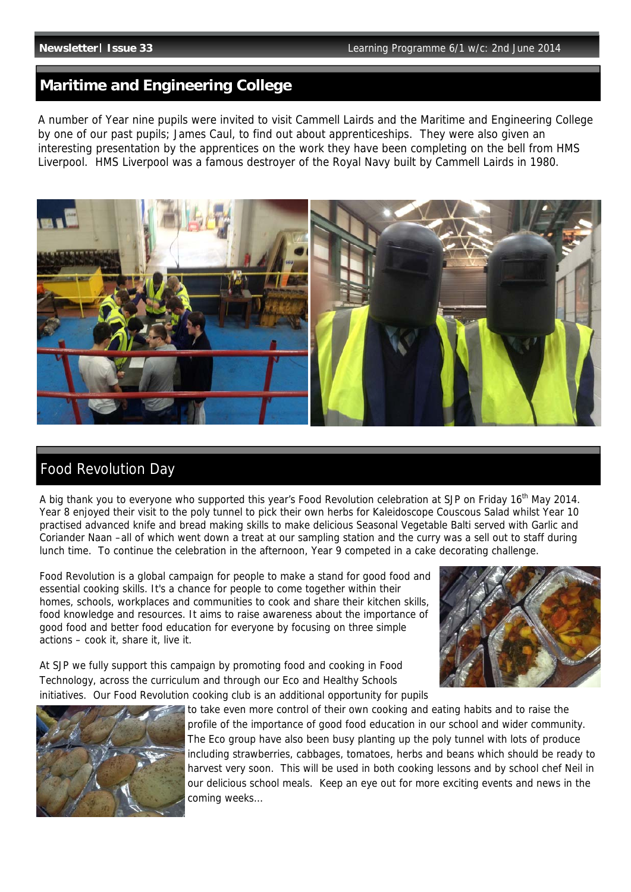### **Maritime and Engineering College**

A number of Year nine pupils were invited to visit Cammell Lairds and the Maritime and Engineering College by one of our past pupils; James Caul, to find out about apprenticeships. They were also given an interesting presentation by the apprentices on the work they have been completing on the bell from HMS Liverpool. HMS Liverpool was a famous destroyer of the Royal Navy built by Cammell Lairds in 1980.



## Food Revolution Day

A big thank you to everyone who supported this year's Food Revolution celebration at SJP on Friday 16th May 2014. Year 8 enjoyed their visit to the poly tunnel to pick their own herbs for Kaleidoscope Couscous Salad whilst Year 10 practised advanced knife and bread making skills to make delicious Seasonal Vegetable Balti served with Garlic and Coriander Naan –all of which went down a treat at our sampling station and the curry was a sell out to staff during lunch time. To continue the celebration in the afternoon, Year 9 competed in a cake decorating challenge.

Food Revolution is a global campaign for people to make a stand for good food and essential cooking skills. It's a chance for people to come together within their homes, schools, workplaces and communities to cook and share their kitchen skills, food knowledge and resources. It aims to raise awareness about the importance of good food and better food education for everyone by focusing on three simple actions – cook it, share it, live it.



At SJP we fully support this campaign by promoting food and cooking in Food Technology, across the curriculum and through our Eco and Healthy Schools initiatives. Our Food Revolution cooking club is an additional opportunity for pupils



to take even more control of their own cooking and eating habits and to raise the profile of the importance of good food education in our school and wider community. The Eco group have also been busy planting up the poly tunnel with lots of produce including strawberries, cabbages, tomatoes, herbs and beans which should be ready to harvest very soon. This will be used in both cooking lessons and by school chef Neil in our delicious school meals. Keep an eye out for more exciting events and news in the coming weeks…